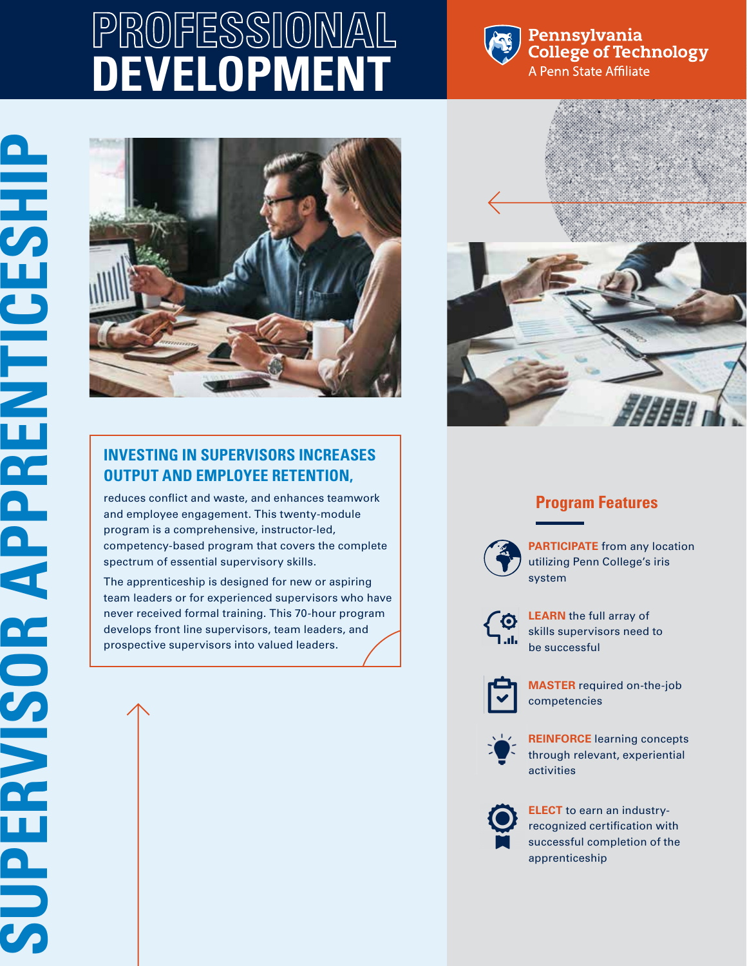# **PROFESSIONAL DEVELOPMENT**



#### Pennsylvania **College of Technology** A Penn State Affiliate





## **OUTPUT AND EMPLOYEE RETENTION,**

reduces conflict and waste, and enhances teamwork and employee engagement. This twenty-module program is a comprehensive, instructor-led, competency-based program that covers the complete spectrum of essential supervisory skills.

The apprenticeship is designed for new or aspiring team leaders or for experienced supervisors who have never received formal training. This 70-hour program develops front line supervisors, team leaders, and prospective supervisors into valued leaders.

### **Program Features**



**PARTICIPATE** from any location utilizing Penn College's iris system



**LEARN** the full array of skills supervisors need to be successful



**MASTER** required on-the-job competencies



**REINFORCE** learning concepts through relevant, experiential activities



**ELECT** to earn an industryrecognized certification with successful completion of the apprenticeship